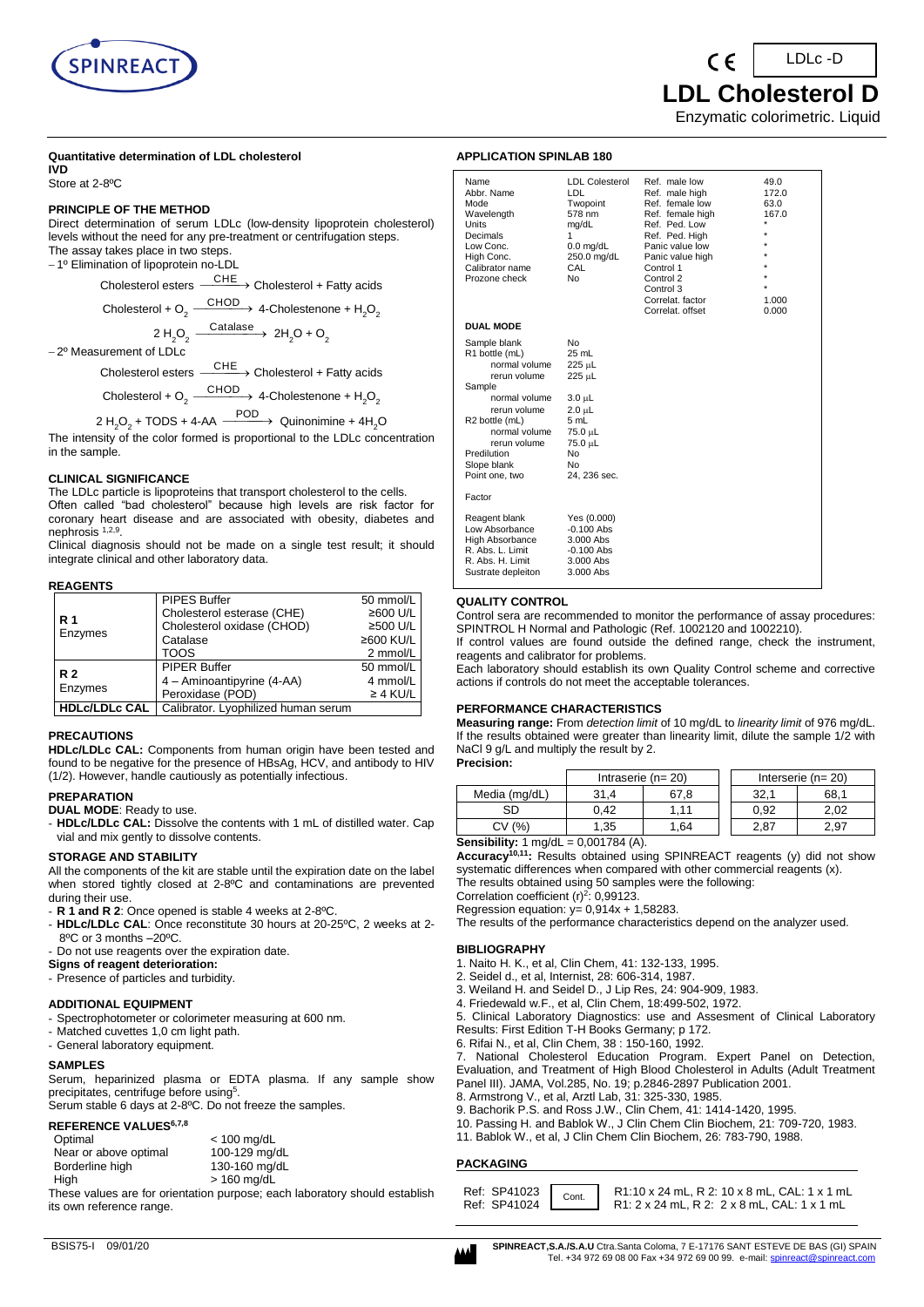

LDLc -D

 **LDL Cholesterol D**

Enzymatic colorimetric. Liquid

#### **Quantitative determination of LDL cholesterol IVD**

Store at 2-8ºC

#### **PRINCIPLE OF THE METHOD**

Direct determination of serum LDLc (low-density lipoprotein cholesterol) levels without the need for any pre-treatment or centrifugation steps. The assay takes place in two steps.

− 1º Elimination of lipoprotein no-LDL

Cholesterol esters  $\xrightarrow{\text{CHE}}$  Cholesterol + Fatty acids

Cholesterol + O<sub>2</sub>  $\xrightarrow{\text{CHOD}}$  4-Cholestenone + H<sub>2</sub>O<sub>2</sub>

2 H<sub>2</sub>O<sub>2</sub>  $\xrightarrow{\text{Catalase}}$  2H<sub>2</sub>O + O<sub>2</sub>

− 2º Measurement of LDLc

Cholesterol esters  $\xrightarrow{\text{CHE}}$  Cholesterol + Fatty acids  $C$ 

Cholesterol + O<sub>2</sub> 
$$
\xrightarrow{\qquad \qquad \qquad \qquad}
$$
 4-Cholestenone + H<sub>2</sub>O<sub>2</sub>

$$
2 H2O2 + TODS + 4-AA \xrightarrow{POD} \text{Quinonimine} + 4H2O
$$

The intensity of the color formed is proportional to the LDLc concentration in the sample.

### **CLINICAL SIGNIFICANCE**

The LDLc particle is lipoproteins that transport cholesterol to the cells. Often called "bad cholesterol" because high levels are risk factor for coronary heart disease and are associated with obesity, diabetes and nephrosis <sup>1,2,9</sup>.

Clinical diagnosis should not be made on a single test result; it should integrate clinical and other laboratory data.

### **REAGENTS**

|                      | PIPES Buffer                        | 50 mmol/L     |
|----------------------|-------------------------------------|---------------|
| R 1                  | Cholesterol esterase (CHE)          | ≥600 U/L      |
| Enzymes              | Cholesterol oxidase (CHOD)          | ≥500 U/L      |
|                      | Catalase                            | ≥600 KU/L     |
|                      | TOOS                                | 2 mmol/L      |
| R <sub>2</sub>       | <b>PIPER Buffer</b>                 | 50 mmol/L     |
|                      | 4 - Aminoantipyrine (4-AA)          | 4 mmol/L      |
| Enzymes              | Peroxidase (POD)                    | $\geq$ 4 KU/L |
| <b>HDLc/LDLc CAL</b> | Calibrator. Lyophilized human serum |               |

#### **PRECAUTIONS**

**HDLc/LDLc CAL:** Components from human origin have been tested and found to be negative for the presence of HBsAg, HCV, and antibody to HIV (1/2). However, handle cautiously as potentially infectious.

#### **PREPARATION**

**DUAL MODE**: Ready to use.

- **HDLc/LDLc CAL:** Dissolve the contents with 1 mL of distilled water. Cap vial and mix gently to dissolve contents.

### **STORAGE AND STABILITY**

All the components of the kit are stable until the expiration date on the label when stored tightly closed at 2-8ºC and contaminations are prevented during their use.

- **R 1 and R 2**: Once opened is stable 4 weeks at 2-8ºC.
- **HDLc/LDLc CAL**: Once reconstitute 30 hours at 20-25ºC, 2 weeks at 2- 8ºC or 3 months –20ºC.
- Do not use reagents over the expiration date.
- **Signs of reagent deterioration:**
- Presence of particles and turbidity.

#### **ADDITIONAL EQUIPMENT**

- Spectrophotometer or colorimeter measuring at 600 nm.
- Matched cuvettes 1,0 cm light path.
- General laboratory equipment.

### **SAMPLES**

Serum, heparinized plasma or EDTA plasma. If any sample show precipitates, centrifuge before using<sup>5</sup>.

#### Serum stable 6 days at 2-8ºC. Do not freeze the samples. **REFERENCE VALUES6,7,8**

|  |  | <b>REFERENCE VALUES</b> <sup>6,7,6</sup> |  |
|--|--|------------------------------------------|--|
|  |  |                                          |  |

| Optimal               | $< 100$ mg/dL |
|-----------------------|---------------|
| Near or above optimal | 100-129 mg/dL |
| Borderline high       | 130-160 mg/dL |
| High                  | $>$ 160 mg/dL |

These values are for orientation purpose; each laboratory should establish its own reference range.

# **APPLICATION SPINLAB 180**

| Name<br>Abbr. Name<br>Mode<br>Wavelength<br>Units<br>Decimals<br>Low Conc.<br>High Conc.<br>Calibrator name<br>Prozone check                                                                                              | <b>LDL Colesterol</b><br>LDL.<br>Twopoint<br>578 nm<br>mg/dL<br>1<br>$0.0$ mg/dL<br>250.0 mg/dL<br>CAL<br>N <sub>0</sub>       | Ref. male low<br>Ref. male high<br>Ref. female low<br>Ref. female high<br>Ref. Ped. Low<br>Ref. Ped. High<br>Panic value low<br>Panic value high<br>Control 1<br>Control 2<br>Control 3<br>Correlat. factor<br>Correlat, offset | 49.0<br>172.0<br>63.0<br>167.0<br>÷<br>1.000<br>0.000 |
|---------------------------------------------------------------------------------------------------------------------------------------------------------------------------------------------------------------------------|--------------------------------------------------------------------------------------------------------------------------------|---------------------------------------------------------------------------------------------------------------------------------------------------------------------------------------------------------------------------------|-------------------------------------------------------|
| <b>DUAL MODE</b>                                                                                                                                                                                                          |                                                                                                                                |                                                                                                                                                                                                                                 |                                                       |
| Sample blank<br>R1 bottle (mL)<br>normal volume<br>rerun volume<br>Sample<br>normal volume<br>rerun volume<br>R <sub>2</sub> bottle (mL)<br>normal volume<br>rerun volume<br>Predilution<br>Slope blank<br>Point one, two | N٥<br>25 mL<br>225 µL<br>225 µL<br>$3.0 \mu L$<br>2.0 µL<br>5 mL<br>75.0 µL<br>75.0 µL<br>N <sub>0</sub><br>No<br>24, 236 sec. |                                                                                                                                                                                                                                 |                                                       |
| Factor                                                                                                                                                                                                                    |                                                                                                                                |                                                                                                                                                                                                                                 |                                                       |
| Reagent blank<br>Low Absorbance<br>High Absorbance<br>R. Abs. L. Limit<br>R. Abs. H. Limit<br>Sustrate depleiton                                                                                                          | Yes (0.000)<br>$-0.100$ Abs<br>3.000 Abs<br>$-0.100$ Abs<br>$3.000$ Abs<br>3.000 Abs                                           |                                                                                                                                                                                                                                 |                                                       |

### **QUALITY CONTROL**

Control sera are recommended to monitor the performance of assay procedures: SPINTROL H Normal and Pathologic (Ref. 1002120 and 1002210).

If control values are found outside the defined range, check the instrument, reagents and calibrator for problems.

Each laboratory should establish its own Quality Control scheme and corrective actions if controls do not meet the acceptable tolerances.

#### **PERFORMANCE CHARACTERISTICS**

**Measuring range:** From *detection limit* of 10 mg/dL to *linearity limit* of 976 mg/dL. If the results obtained were greater than linearity limit, dilute the sample 1/2 with NaCl 9 g/L and multiply the result by 2. **Precision:**

# Intraserie (n= 20)  $\vert$  | Interserie (n= 20) Media (mg/dL) 31,4 67,8 32,1 68,1 SD | 0,42 | 1,11 | | 0,92 | 2,02 CV (%) | 1,35 | 1,64 | 2,87 | 2,97

#### **Sensibility:** 1 mg/dL = 0,001784 (A).

**Accuracy10,11:** Results obtained using SPINREACT reagents (y) did not show systematic differences when compared with other commercial reagents (x). The results obtained using 50 samples were the following:

Correlation coefficient  $(r)^2$ : 0,99123.

Regression equation:  $y= 0,914x + 1,58283$ .

The results of the performance characteristics depend on the analyzer used.

## **BIBLIOGRAPHY**

- 1. Naito H. K., et al, Clin Chem, 41: 132-133, 1995.
- 2. Seidel d., et al, Internist, 28: 606-314, 1987.
- 3. Weiland H. and Seidel D., J Lip Res, 24: 904-909, 1983.
- 4. Friedewald w.F., et al, Clin Chem, 18:499-502, 1972.
- 5. Clinical Laboratory Diagnostics: use and Assesment of Clinical Laboratory Results: First Edition T-H Books Germany; p 172.
- 6. Rifai N., et al, Clin Chem, 38 : 150-160, 1992.

7. National Cholesterol Education Program. Expert Panel on Detection, Evaluation, and Treatment of High Blood Cholesterol in Adults (Adult Treatment Panel III). JAMA, Vol.285, No. 19; p.2846-2897 Publication 2001.

- 8. Armstrong V., et al, Arztl Lab, 31: 325-330, 1985.
- 9. Bachorik P.S. and Ross J.W., Clin Chem, 41: 1414-1420, 1995.
- 10. Passing H. and Bablok W., J Clin Chem Clin Biochem, 21: 709-720, 1983.
- 11. Bablok W., et al, J Clin Chem Clin Biochem, 26: 783-790, 1988.

## **PACKAGING**

|  |  |  | Ref: SP41023   Cont.   R1:10 x 24 mL, R 2: 10 x 8 mL, CAL: 1 x 1 mL<br>Ref: SP41024 \[ \] R1: 2 x 24 mL, R 2: 2 x 8 mL, CAL: 1 x 1 mL |
|--|--|--|---------------------------------------------------------------------------------------------------------------------------------------|
|--|--|--|---------------------------------------------------------------------------------------------------------------------------------------|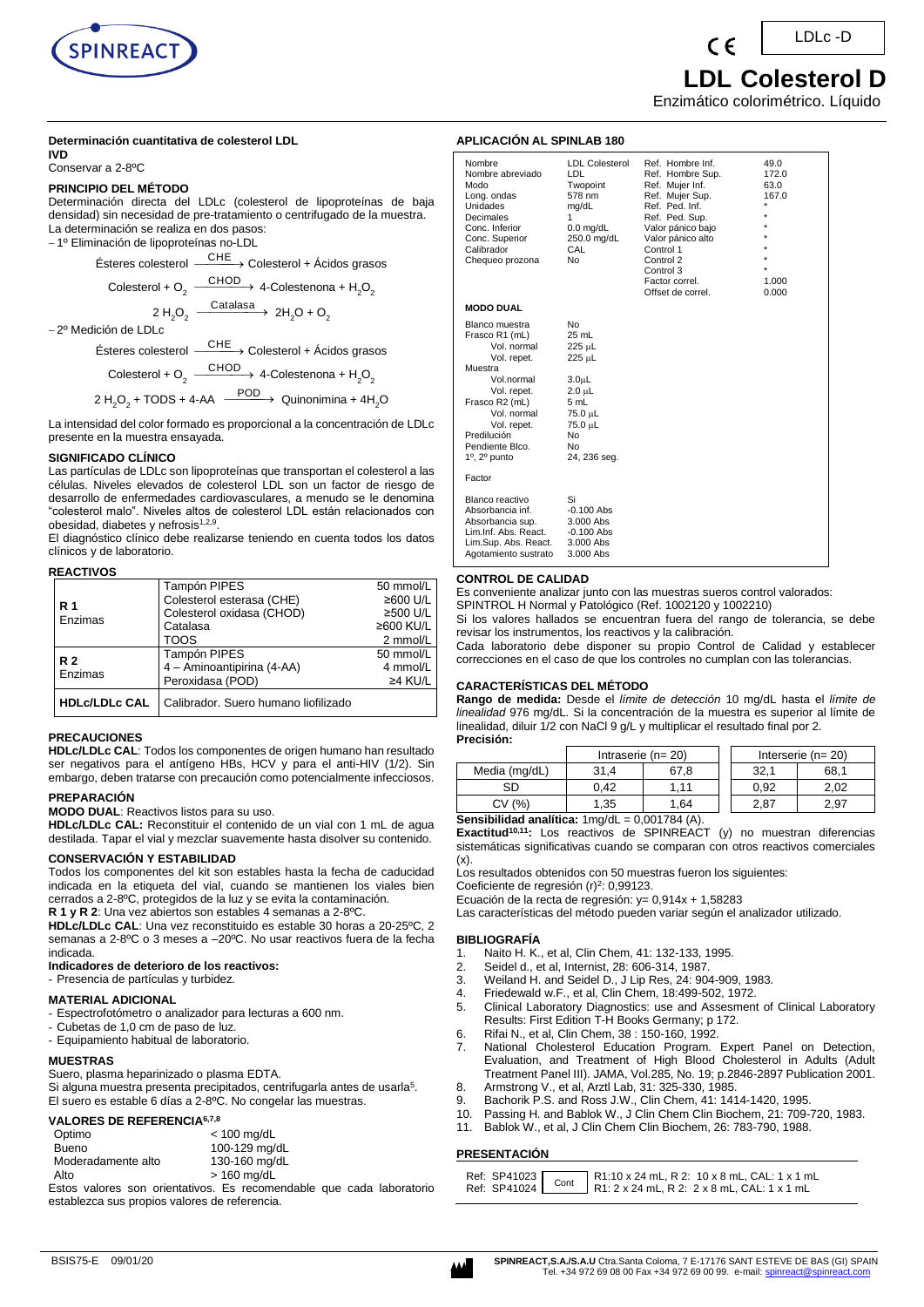

#### **Determinación cuantitativa de colesterol LDL IVD**

Conservar a 2-8ºC

#### **PRINCIPIO DEL MÉTODO**

Determinación directa del LDLc (colesterol de lipoproteínas de baja densidad) sin necesidad de pre-tratamiento o centrifugado de la muestra. La determinación se realiza en dos pasos: − 1º Eliminación de lipoproteínas no-LDL

$$
\text{Ésteres colesterol} \xrightarrow{\text{CHE}} \text{Colesterol} + \text{Ácidos grassos}
$$

$$
Colesterol + O_2 \xrightarrow{\text{CHOD}} 4-Colestenona + H_2O_2
$$

2 H<sub>2</sub>O<sub>2</sub>  $\xrightarrow{\text{Catalasa}}$  2H<sub>2</sub>O + O<sub>2</sub>

− 2º Medición de LDLc

Ésteres colesterol  $-$ CHE → Colesterol + Ácidos grasos  $\overline{\phantom{a}}$ 

$$
Colesterol + O_2 \xrightarrow{CHOD} 4-Colestenona + H_2O_2
$$

$$
2 H_2O_2 + \text{TODS} + 4\text{-AA} \xrightarrow{\text{POD}} \text{Quinonimina} + 4H_2O
$$

La intensidad del color formado es proporcional a la concentración de LDLc presente en la muestra ensayada.

#### **SIGNIFICADO CLÍNICO**

Las partículas de LDLc son lipoproteínas que transportan el colesterol a las células. Niveles elevados de colesterol LDL son un factor de riesgo de desarrollo de enfermedades cardiovasculares, a menudo se le denomina "colesterol malo". Niveles altos de colesterol LDL están relacionados con obesidad, diabetes y nefrosis<sup>1,2,9</sup>.

El diagnóstico clínico debe realizarse teniendo en cuenta todos los datos clínicos y de laboratorio.

### **REACTIVOS**

|                           |                            | Tampón PIPES                         | 50 mmol/L |
|---------------------------|----------------------------|--------------------------------------|-----------|
|                           | Colesterol esterasa (CHE)  | ≥600 U/L                             |           |
|                           | R 1<br>Enzimas             | Colesterol oxidasa (CHOD)            | ≥500 U/L  |
|                           |                            | Catalasa                             | ≥600 KU/L |
|                           |                            | TOOS                                 | 2 mmol/L  |
|                           |                            | <b>Tampón PIPES</b>                  | 50 mmol/L |
| R <sub>2</sub><br>Enzimas | 4 - Aminoantipirina (4-AA) | 4 mmol/L                             |           |
|                           | Peroxidasa (POD)           | $\geq$ 4 KU/L                        |           |
|                           | <b>HDLc/LDLc CAL</b>       | Calibrador. Suero humano liofilizado |           |

### **PRECAUCIONES**

**HDLc/LDLc CAL**: Todos los componentes de origen humano han resultado ser negativos para el antígeno HBs, HCV y para el anti-HIV (1/2). Sin embargo, deben tratarse con precaución como potencialmente infecciosos.

## **PREPARACIÓN**

**MODO DUAL**: Reactivos listos para su uso.

**HDLc/LDLc CAL:** Reconstituir el contenido de un vial con 1 mL de agua destilada. Tapar el vial y mezclar suavemente hasta disolver su contenido.

## **CONSERVACIÓN Y ESTABILIDAD**

Todos los componentes del kit son estables hasta la fecha de caducidad indicada en la etiqueta del vial, cuando se mantienen los viales bien cerrados a 2-8ºC, protegidos de la luz y se evita la contaminación.

**R 1 y R 2**: Una vez abiertos son estables 4 semanas a 2-8ºC. **HDLc/LDLc CAL**: Una vez reconstituido es estable 30 horas a 20-25ºC, 2 semanas a 2-8ºC o 3 meses a –20ºC. No usar reactivos fuera de la fecha indicada.

# **Indicadores de deterioro de los reactivos:**

- Presencia de partículas y turbidez.

#### **MATERIAL ADICIONAL**

- Espectrofotómetro o analizador para lecturas a 600 nm.
- Cubetas de 1,0 cm de paso de luz.
- Equipamiento habitual de laboratorio.

#### **MUESTRAS**

Suero, plasma heparinizado o plasma EDTA.

Si alguna muestra presenta precipitados, centrifugarla antes de usarla<sup>5</sup>. El suero es estable 6 días a 2-8ºC. No congelar las muestras.

#### **VALORES DE REFERENCIA6,7,8**

| Optimo             | $<$ 100 mg/dL |
|--------------------|---------------|
| Bueno              | 100-129 mg/dL |
| Moderadamente alto | 130-160 mg/dL |
| Alto               | $>$ 160 mg/dL |

Estos valores son orientativos. Es recomendable que cada laboratorio establezca sus propios valores de referencia.

 **LDL Colesterol D**

LDLc -D

Enzimático colorimétrico. Líquido

## **APLICACIÓN AL SPINLAB 180**

| Nombre<br>Nombre abreviado<br>Modo<br>Long. ondas<br><b>Unidades</b><br>Decimales<br>Conc. Inferior<br>Conc. Superior<br>Calibrador<br>Chequeo prozona |                                                                                       | <b>LDL Colesterol</b><br>LDL<br>Twopoint<br>578 nm<br>mg/dL<br>1<br>$0.0$ mg/dL<br>250.0 mg/dL<br>CAL<br>No             | Ref. Hombre Inf.<br>Ref. Hombre Sup.<br>Ref. Mujer Inf.<br>Ref. Mujer Sup.<br>Ref. Ped. Inf.<br>Ref. Ped. Sup.<br>Valor pánico bajo<br>Valor pánico alto<br>Control 1<br>Control 2<br>Control 3<br>Factor correl.<br>Offset de correl. | 49.0<br>172.0<br>63.0<br>167.0<br>÷<br>$\star$<br>÷<br>÷<br>÷<br>÷<br>$\star$<br>1.000<br>0.000 |
|--------------------------------------------------------------------------------------------------------------------------------------------------------|---------------------------------------------------------------------------------------|-------------------------------------------------------------------------------------------------------------------------|----------------------------------------------------------------------------------------------------------------------------------------------------------------------------------------------------------------------------------------|-------------------------------------------------------------------------------------------------|
| <b>MODO DUAL</b>                                                                                                                                       |                                                                                       |                                                                                                                         |                                                                                                                                                                                                                                        |                                                                                                 |
| Blanco muestra<br>Frasco R1 (mL)<br>Muestra<br>Frasco R2 (mL)<br>Predilución<br>Pendiente Blco.<br>$1^\circ$ , $2^\circ$ punto                         | Vol. normal<br>Vol. repet.<br>Vol.normal<br>Vol. repet.<br>Vol. normal<br>Vol. repet. | No<br>25 mL<br>225 µL<br>225 µL<br>3.0 <sub>µ</sub><br>2.0 µL<br>5 mL<br>75.0 µL<br>75.0 µL<br>No<br>No<br>24, 236 seg. |                                                                                                                                                                                                                                        |                                                                                                 |
| Factor                                                                                                                                                 |                                                                                       |                                                                                                                         |                                                                                                                                                                                                                                        |                                                                                                 |
| Blanco reactivo<br>Absorbancia inf.<br>Absorbancia sup.<br>Lim.Inf. Abs. React.                                                                        | Lim.Sup. Abs. React.<br>Agotamiento sustrato                                          | Si<br>$-0.100$ Abs<br>3.000 Abs<br>$-0.100$ Abs<br>3.000 Abs<br>3.000 Abs                                               |                                                                                                                                                                                                                                        |                                                                                                 |

### **CONTROL DE CALIDAD**

Es conveniente analizar junto con las muestras sueros control valorados: SPINTROL H Normal y Patológico (Ref. 1002120 y 1002210)

Si los valores hallados se encuentran fuera del rango de tolerancia, se debe revisar los instrumentos, los reactivos y la calibración.

Cada laboratorio debe disponer su propio Control de Calidad y establecer correcciones en el caso de que los controles no cumplan con las tolerancias.

#### **CARACTERÍSTICAS DEL MÉTODO**

**Rango de medida:** Desde el *límite de detección* 10 mg/dL hasta el *límite de linealidad* 976 mg/dL. Si la concentración de la muestra es superior al límite de linealidad, diluir 1/2 con NaCl 9 g/L y multiplicar el resultado final por 2. **Precisión:**

|                                                     | Intraserie ( $n = 20$ ) |      |  |      | Interserie ( $n = 20$ ) |
|-----------------------------------------------------|-------------------------|------|--|------|-------------------------|
| Media (mg/dL)                                       | 31.4                    | 67.8 |  | 32.1 | 68.1                    |
| SD                                                  | 0.42                    | 1.11 |  | 0.92 | 2.02                    |
| CV (%)                                              | 1.35                    | 1.64 |  | 2.87 | 2.97                    |
| Constitutional productions of results<br>0.00170111 |                         |      |  |      |                         |

**Sensibilidad analítica:** 1mg/dL = 0,001784 (A)

**Exactitud10,11:** Los reactivos de SPINREACT (y) no muestran diferencias sistemáticas significativas cuando se comparan con otros reactivos comerciales  $(x)$ .

Los resultados obtenidos con 50 muestras fueron los siguientes:

Coeficiente de regresión (r)<sup>2</sup>: 0,99123.

Ecuación de la recta de regresión: y= 0,914x + 1,58283 Las características del método pueden variar según el analizador utilizado.

### **BIBLIOGRAFÍA**

- 
- 1. Naito H. K., et al, Clin Chem, 41: 132-133, 1995.
- 2. Seidel d., et al, Internist, 28: 606-314, 1987.<br>3. Weiland H. and Seidel D. J Lip Res. 24: 90
- 3. Weiland H. and Seidel D., J Lip Res, 24: 904-909, 1983. 4. Friedewald w.F., et al, Clin Chem, 18:499-502, 1972.
- 5. Clinical Laboratory Diagnostics: use and Assesment of Clinical Laboratory Results: First Edition T-H Books Germany; p 172.
- 6. Rifai N., et al, Clin Chem, 38 : 150-160, 1992.
- 7. National Cholesterol Education Program. Expert Panel on Detection, Evaluation, and Treatment of High Blood Cholesterol in Adults (Adult Treatment Panel III). JAMA, Vol.285, No. 19; p.2846-2897 Publication 2001.
- 8. Armstrong V., et al, Arztl Lab, 31: 325-330, 1985.
- 9. Bachorik P.S. and Ross J.W., Clin Chem, 41: 1414-1420, 1995. 10. Passing H. and Bablok W., J Clin Chem Clin Biochem, 21: 709-720, 1983.
- 11. Bablok W., et al, J Clin Chem Clin Biochem, 26: 783-790, 1988.

### **PRESENTACIÓN**

|  | Ref: SP41023 Cont R1:10 x 24 mL, R 2: 10 x 8 mL, CAL: 1 x 1 mL<br>Ref: SP41024 Cont R1: 2 x 24 mL, R 2: 2 x 8 mL, CAL: 1 x 1 mL |
|--|---------------------------------------------------------------------------------------------------------------------------------|
|--|---------------------------------------------------------------------------------------------------------------------------------|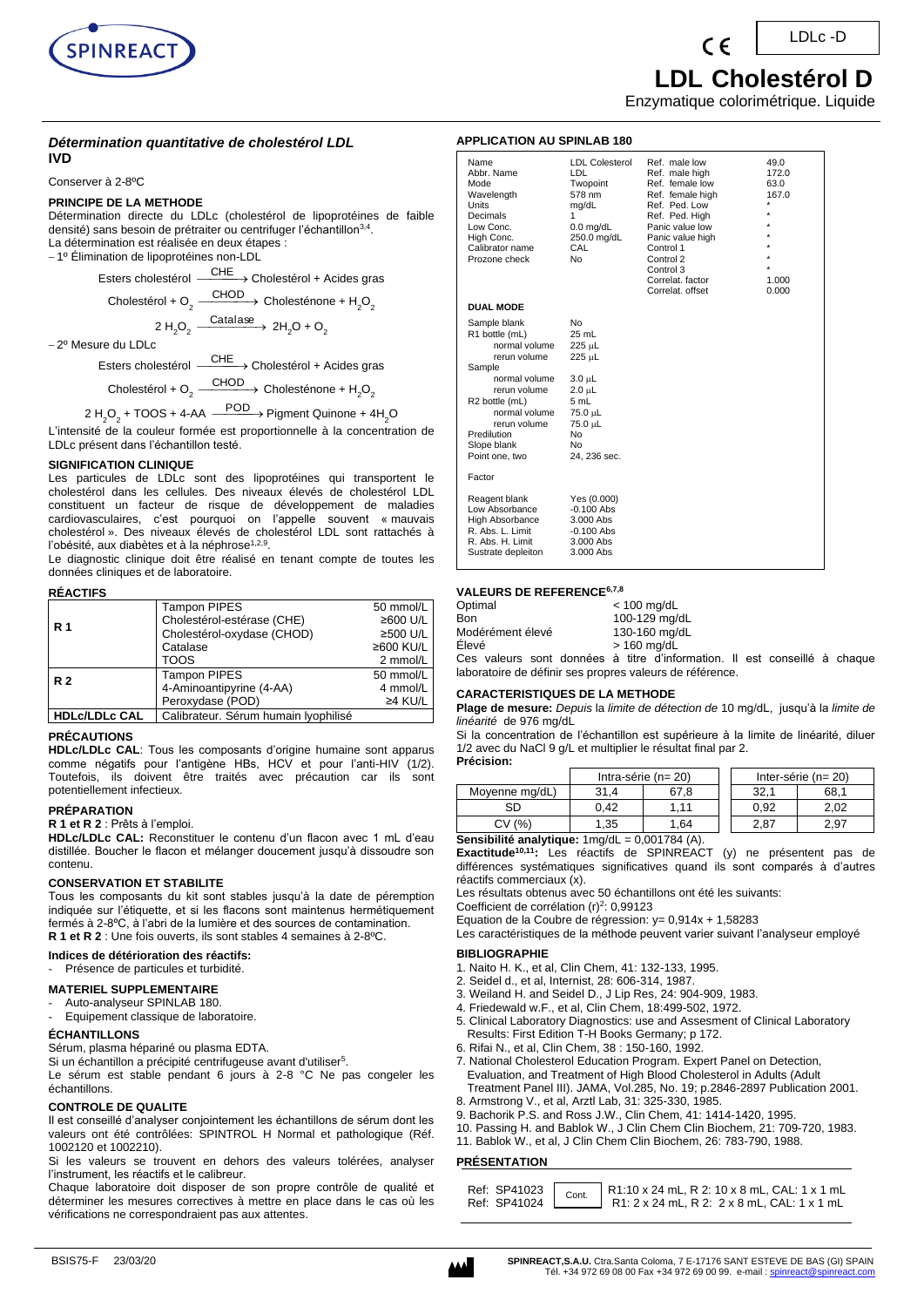

 **LDL Cholestérol D**

Enzymatique colorimétrique. Liquide

### **APPLICATION AU SPINLAB 180**

| IVD |  |  |  |
|-----|--|--|--|
|     |  |  |  |

Conserver à 2-8ºC

# **PRINCIPE DE LA METHODE**

Choles

Détermination directe du LDLc (cholestérol de lipoprotéines de faible densité) sans besoin de prétraiter ou centrifuger l'échantillon<sup>3,4</sup>. La détermination est réalisée en deux étapes :

*Détermination quantitative de cholestérol LDL*

− 1º Élimination de lipoprotéines non-LDL

Esters cholestérol <sup>- CHE</sup> → Cholestérol + Acides gras

$$
t\acute{e}rol + O_2 \xrightarrow{\text{CHOD}} \text{Cholesténone} + H_2O_2
$$

$$
2 H_2O_2 \xrightarrow{\text{Catalase}} 2 H_2O + O_2
$$

− 2º Mesure du LDLc

Esters cholestérol ⎯⎯⎯→ CHE Cholestérol + Acides gras

Cholestérol + O $_2$   $\longrightarrow$  Cholesténone + H<sub>2</sub>O<sub>2</sub>

$$
2 H_2O_2 + \text{TOOS} + 4\text{-AA} \xrightarrow{\text{POD}} \text{Pigment Quinone} + 4H_2O
$$

L'intensité de la couleur formée est proportionnelle à la concentration de LDLc présent dans l'échantillon testé.

### **SIGNIFICATION CLINIQUE**

Les particules de LDLc sont des lipoprotéines qui transportent le cholestérol dans les cellules. Des niveaux élevés de cholestérol LDL constituent un facteur de risque de développement de maladies cardiovasculaires, c'est pourquoi on l'appelle souvent « mauvais cholestérol ». Des niveaux élevés de cholestérol LDL sont rattachés à l'obésité, aux diabètes et à la néphrose<sup>1,2,9</sup>.

Le diagnostic clinique doit être réalisé en tenant compte de toutes les données cliniques et de laboratoire.

#### **RÉACTIFS**

|                      | <b>Tampon PIPES</b>                  | 50 mmol/L       |
|----------------------|--------------------------------------|-----------------|
| R <sub>1</sub>       | Cholestérol-estérase (CHE)           | ≥600 U/L        |
|                      | Cholestérol-oxydase (CHOD)           | ≥500 U/L        |
|                      | Catalase                             | $\geq 600$ KU/L |
|                      | <b>TOOS</b>                          | 2 mmol/L        |
| <b>R2</b>            | <b>Tampon PIPES</b>                  | 50 mmol/L       |
|                      | 4-Aminoantipyrine (4-AA)             | 4 mmol/L        |
|                      | Peroxydase (POD)                     | $\geq$ 4 KU/L   |
| <b>HDLc/LDLc CAL</b> | Calibrateur. Sérum humain lyophilisé |                 |

### **PRÉCAUTIONS**

**HDLc/LDLc CAL**: Tous les composants d'origine humaine sont apparus comme négatifs pour l'antigène HBs, HCV et pour l'anti-HIV (1/2). Toutefois, ils doivent être traités avec précaution car ils sont potentiellement infectieux.

#### **PRÉPARATION**

#### **R 1 et R 2** : Prêts à l'emploi.

**HDLc/LDLc CAL:** Reconstituer le contenu d'un flacon avec 1 mL d'eau distillée. Boucher le flacon et mélanger doucement jusqu'à dissoudre son contenu.

#### **CONSERVATION ET STABILITE**

Tous les composants du kit sont stables jusqu'à la date de péremption indiquée sur l'étiquette, et si les flacons sont maintenus hermétiquement fermés à 2-8ºC, à l'abri de la lumière et des sources de contamination. **R 1 et R 2** : Une fois ouverts, ils sont stables 4 semaines à 2-8ºC.

#### **Indices de détérioration des réactifs:**

Présence de particules et turbidité.

#### **MATERIEL SUPPLEMENTAIRE**

Auto-analyseur SPINLAB 180.

Equipement classique de laboratoire.

#### **ÉCHANTILLONS**

Sérum, plasma hépariné ou plasma EDTA.

Si un échantillon a précipité centrifugeuse avant d'utiliser<sup>5</sup>.

Le sérum est stable pendant 6 jours à 2-8 °C Ne pas congeler les échantillons.

### **CONTROLE DE QUALITE**

Il est conseillé d'analyser conjointement les échantillons de sérum dont les valeurs ont été contrôlées: SPINTROL H Normal et pathologique (Réf. 1002120 et 1002210).

Si les valeurs se trouvent en dehors des valeurs tolérées, analyser l'instrument, les réactifs et le calibreur.

Chaque laboratoire doit disposer de son propre contrôle de qualité et déterminer les mesures correctives à mettre en place dans le cas où les vérifications ne correspondraient pas aux attentes.

| Name<br>Abbr. Name<br>Mode<br>Wavelength<br>Units<br>Decimals<br>Low Conc.<br>High Conc.<br>Calibrator name<br>Prozone check                                                                                  | <b>LDL Colesterol</b><br>LDL<br>Twopoint<br>578 nm<br>mg/dL<br>1<br>$0.0$ mg/dL<br>250.0 mg/dL<br>CAL<br>No   | Ref. male low<br>Ref. male high<br>Ref. female low<br>Ref. female high<br>Ref. Ped. Low<br>Ref. Ped. High<br>Panic value low<br>Panic value high<br>Control 1<br>Control 2<br>Control 3<br>Correlat, factor<br>Correlat, offset | 49.0<br>172.0<br>63.0<br>167.0<br>÷<br>×<br>$\star$<br>$\star$<br>$\star$<br>1.000<br>0.000 |
|---------------------------------------------------------------------------------------------------------------------------------------------------------------------------------------------------------------|---------------------------------------------------------------------------------------------------------------|---------------------------------------------------------------------------------------------------------------------------------------------------------------------------------------------------------------------------------|---------------------------------------------------------------------------------------------|
| <b>DUAL MODE</b>                                                                                                                                                                                              |                                                                                                               |                                                                                                                                                                                                                                 |                                                                                             |
| Sample blank<br>R1 bottle (mL)<br>normal volume<br>rerun volume<br>Sample<br>normal volume<br>rerun volume<br>R2 bottle (mL)<br>normal volume<br>rerun volume<br>Predilution<br>Slope blank<br>Point one, two | No<br>25 mL<br>225 µL<br>225 µL<br>3.0 µL<br>2.0 µL<br>5 mL<br>75.0 µL<br>75.0 µL<br>No<br>No<br>24, 236 sec. |                                                                                                                                                                                                                                 |                                                                                             |
| Factor                                                                                                                                                                                                        |                                                                                                               |                                                                                                                                                                                                                                 |                                                                                             |
| Reagent blank<br>Low Absorbance<br>High Absorbance<br>R. Abs. L. Limit<br>R. Abs. H. Limit<br>Sustrate depleiton                                                                                              | Yes (0.000)<br>$-0.100$ Abs<br>3.000 Abs<br>$-0.100$ Abs<br>3.000 Abs<br>3.000 Abs                            |                                                                                                                                                                                                                                 |                                                                                             |

### **VALEURS DE REFERENCE6,7,8**

| Optimal          | $<$ 100 mg/dL |
|------------------|---------------|
| Bon              | 100-129 mg/dL |
| Modérément élevé | 130-160 mg/dL |
| Elevé            | $>$ 160 mg/dL |
|                  |               |

Ces valeurs sont données à titre d'information. Il est conseillé à chaque laboratoire de définir ses propres valeurs de référence.

#### **CARACTERISTIQUES DE LA METHODE**

**Plage de mesure:** *Depuis* la *limite de détection de* 10 mg/dL, jusqu'à la *limite de linéarité* de 976 mg/dL

Si la concentration de l'échantillon est supérieure à la limite de linéarité, diluer 1/2 avec du NaCl 9 g/L et multiplier le résultat final par 2. **Précision:**

|                |      | Intra-série ( $n = 20$ ) |  |      | Inter-série ( $n = 20$ ) |
|----------------|------|--------------------------|--|------|--------------------------|
| Moyenne mg/dL) | 31.4 | 67.8                     |  | 32.1 | 68.1                     |
| SD             | 0.42 | 1.11                     |  | 0.92 | 2.02                     |
| CV(%)          | 1.35 | 1.64                     |  | 2.87 | 2.97                     |
| 0.00170111     |      |                          |  |      |                          |

# **Sensibilité analytique:** 1mg/dL = 0,001784 (A).

**Exactitude10,11 :** Les réactifs de SPINREACT (y) ne présentent pas de différences systématiques significatives quand ils sont comparés à d'autres réactifs commerciaux (x).

Les résultats obtenus avec 50 échantillons ont été les suivants:

Coefficient de corrélation (r)<sup>2</sup>: 0,99123 Equation de la Coubre de régression: y= 0,914x + 1,58283

Les caractéristiques de la méthode peuvent varier suivant l'analyseur employé

## **BIBLIOGRAPHIE**

- 1. Naito H. K., et al, Clin Chem, 41: 132-133, 1995.
- 2. Seidel d., et al, Internist, 28: 606-314, 1987.
- 3. Weiland H. and Seidel D., J Lip Res, 24: 904-909, 1983.
- 4. Friedewald w.F., et al, Clin Chem, 18:499-502, 1972.
- 5. Clinical Laboratory Diagnostics: use and Assesment of Clinical Laboratory Results: First Edition T-H Books Germany; p 172.
- 6. Rifai N., et al, Clin Chem, 38 : 150-160, 1992.
- 7. National Cholesterol Education Program. Expert Panel on Detection, Evaluation, and Treatment of High Blood Cholesterol in Adults (Adult Treatment Panel III). JAMA, Vol.285, No. 19; p.2846-2897 Publication 2001.
- 8. Armstrong V., et al, Arztl Lab, 31: 325-330, 1985.
- 9. Bachorik P.S. and Ross J.W., Clin Chem, 41: 1414-1420, 1995.
- 10. Passing H. and Bablok W., J Clin Chem Clin Biochem, 21: 709-720, 1983.
- 11. Bablok W., et al, J Clin Chem Clin Biochem, 26: 783-790, 1988.

## **PRÉSENTATION**

| Ref: SP41023 Cont. R1:10 x 24 mL, R 2: 10 x 8 mL, CAL: 1 x 1 mL<br>Ref: SP41024 Cont. R1: 2 x 24 mL, R 2: 2 x 8 mL, CAL: 1 x 1 mL |
|-----------------------------------------------------------------------------------------------------------------------------------|